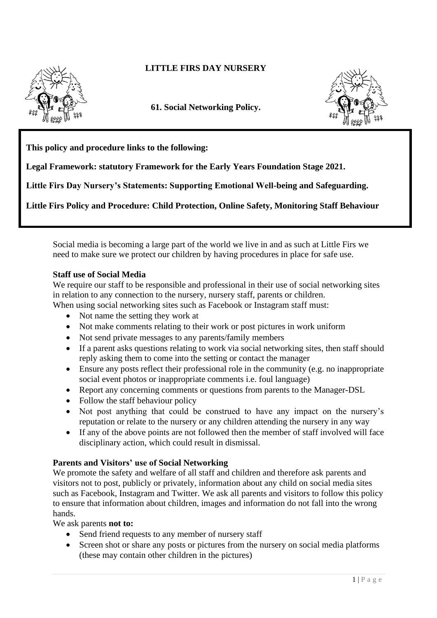

## **LITTLE FIRS DAY NURSERY**

**61. Social Networking Policy.**



**This policy and procedure links to the following:** 

**Legal Framework: statutory Framework for the Early Years Foundation Stage 2021.**

**Little Firs Day Nursery's Statements: Supporting Emotional Well-being and Safeguarding.**

**Little Firs Policy and Procedure: Child Protection, Online Safety, Monitoring Staff Behaviour**

Social media is becoming a large part of the world we live in and as such at Little Firs we need to make sure we protect our children by having procedures in place for safe use.

## **Staff use of Social Media**

We require our staff to be responsible and professional in their use of social networking sites in relation to any connection to the nursery, nursery staff, parents or children.

- When using social networking sites such as Facebook or Instagram staff must:
	- Not name the setting they work at
	- Not make comments relating to their work or post pictures in work uniform
	- Not send private messages to any parents/family members
	- If a parent asks questions relating to work via social networking sites, then staff should reply asking them to come into the setting or contact the manager
	- Ensure any posts reflect their professional role in the community (e.g. no inappropriate social event photos or inappropriate comments i.e. foul language)
	- Report any concerning comments or questions from parents to the Manager-DSL
	- Follow the staff behaviour policy
	- Not post anything that could be construed to have any impact on the nursery's reputation or relate to the nursery or any children attending the nursery in any way
	- If any of the above points are not followed then the member of staff involved will face disciplinary action, which could result in dismissal.

## **Parents and Visitors' use of Social Networking**

We promote the safety and welfare of all staff and children and therefore ask parents and visitors not to post, publicly or privately, information about any child on social media sites such as Facebook, Instagram and Twitter. We ask all parents and visitors to follow this policy to ensure that information about children, images and information do not fall into the wrong hands.

We ask parents **not to:**

- Send friend requests to any member of nursery staff
- Screen shot or share any posts or pictures from the nursery on social media platforms (these may contain other children in the pictures)